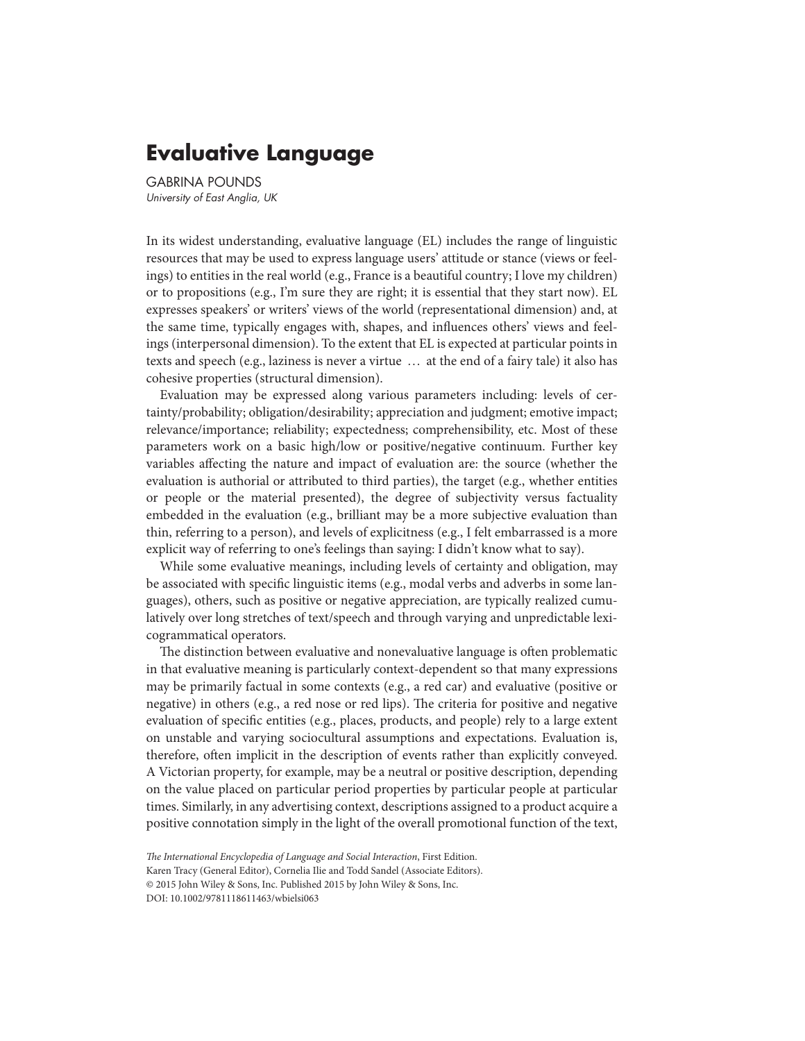# **Evaluative Language**

GABRINA POUNDS University of East Anglia, UK

In its widest understanding, evaluative language (EL) includes the range of linguistic resources that may be used to express language users' attitude or stance (views or feelings) to entities in the real world (e.g., France is a beautiful country; I love my children) or to propositions (e.g., I'm sure they are right; it is essential that they start now). EL expresses speakers' or writers' views of the world (representational dimension) and, at the same time, typically engages with, shapes, and influences others' views and feelings (interpersonal dimension). To the extent that EL is expected at particular points in texts and speech (e.g., laziness is never a virtue … at the end of a fairy tale) it also has cohesive properties (structural dimension).

Evaluation may be expressed along various parameters including: levels of certainty/probability; obligation/desirability; appreciation and judgment; emotive impact; relevance/importance; reliability; expectedness; comprehensibility, etc. Most of these parameters work on a basic high/low or positive/negative continuum. Further key variables affecting the nature and impact of evaluation are: the source (whether the evaluation is authorial or attributed to third parties), the target (e.g., whether entities or people or the material presented), the degree of subjectivity versus factuality embedded in the evaluation (e.g., brilliant may be a more subjective evaluation than thin, referring to a person), and levels of explicitness (e.g., I felt embarrassed is a more explicit way of referring to one's feelings than saying: I didn't know what to say).

While some evaluative meanings, including levels of certainty and obligation, may be associated with specific linguistic items (e.g., modal verbs and adverbs in some languages), others, such as positive or negative appreciation, are typically realized cumulatively over long stretches of text/speech and through varying and unpredictable lexicogrammatical operators.

The distinction between evaluative and nonevaluative language is often problematic in that evaluative meaning is particularly context-dependent so that many expressions may be primarily factual in some contexts (e.g., a red car) and evaluative (positive or negative) in others (e.g., a red nose or red lips). The criteria for positive and negative evaluation of specific entities (e.g., places, products, and people) rely to a large extent on unstable and varying sociocultural assumptions and expectations. Evaluation is, therefore, often implicit in the description of events rather than explicitly conveyed. A Victorian property, for example, may be a neutral or positive description, depending on the value placed on particular period properties by particular people at particular times. Similarly, in any advertising context, descriptions assigned to a product acquire a positive connotation simply in the light of the overall promotional function of the text,

*The International Encyclopedia of Language and Social Interaction*, First Edition. Karen Tracy (General Editor), Cornelia Ilie and Todd Sandel (Associate Editors). © 2015 John Wiley & Sons, Inc. Published 2015 by John Wiley & Sons, Inc. DOI: 10.1002/9781118611463/wbielsi063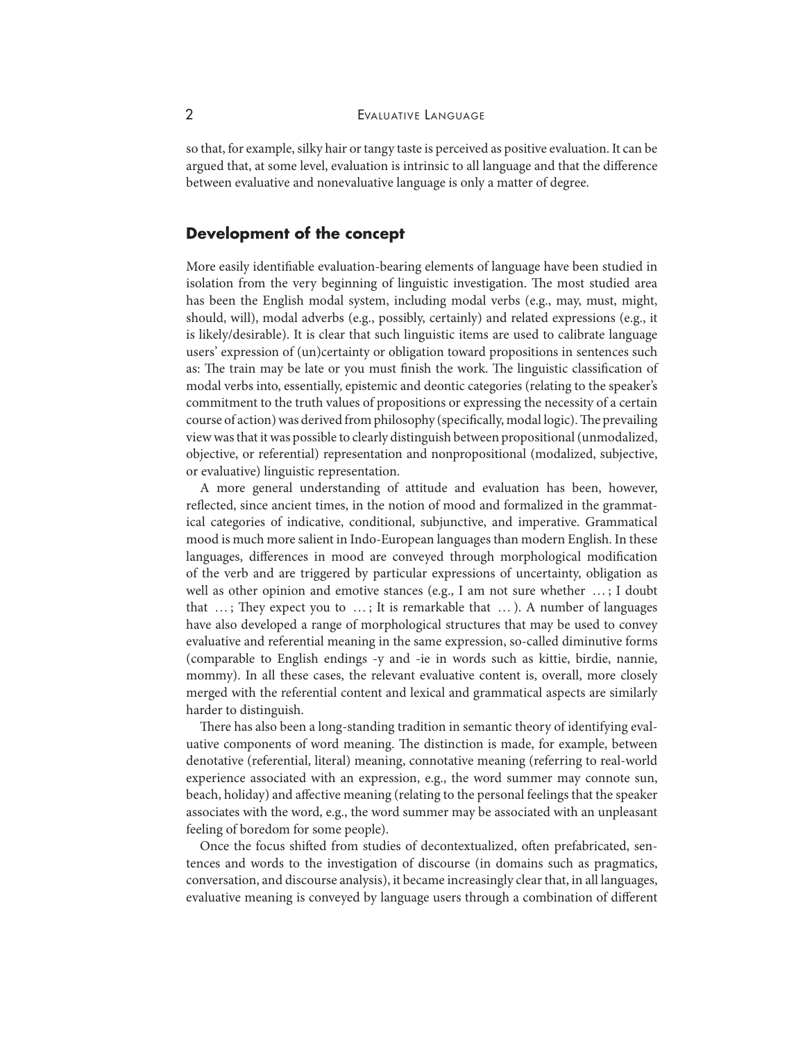#### 2 **EVALUATIVE LANGUAGE**

so that, for example, silky hair or tangy taste is perceived as positive evaluation. It can be argued that, at some level, evaluation is intrinsic to all language and that the difference between evaluative and nonevaluative language is only a matter of degree.

### **Development of the concept**

More easily identifiable evaluation-bearing elements of language have been studied in isolation from the very beginning of linguistic investigation. The most studied area has been the English modal system, including modal verbs (e.g., may, must, might, should, will), modal adverbs (e.g., possibly, certainly) and related expressions (e.g., it is likely/desirable). It is clear that such linguistic items are used to calibrate language users' expression of (un)certainty or obligation toward propositions in sentences such as: The train may be late or you must finish the work. The linguistic classification of modal verbs into, essentially, epistemic and deontic categories (relating to the speaker's commitment to the truth values of propositions or expressing the necessity of a certain course of action) was derived from philosophy (specifically, modal logic). The prevailing view was that it was possible to clearly distinguish between propositional (unmodalized, objective, or referential) representation and nonpropositional (modalized, subjective, or evaluative) linguistic representation.

A more general understanding of attitude and evaluation has been, however, reflected, since ancient times, in the notion of mood and formalized in the grammatical categories of indicative, conditional, subjunctive, and imperative. Grammatical mood is much more salient in Indo-European languages than modern English. In these languages, differences in mood are conveyed through morphological modification of the verb and are triggered by particular expressions of uncertainty, obligation as well as other opinion and emotive stances (e.g., I am not sure whether …; I doubt that …; They expect you to …; It is remarkable that …). A number of languages have also developed a range of morphological structures that may be used to convey evaluative and referential meaning in the same expression, so-called diminutive forms (comparable to English endings -y and -ie in words such as kittie, birdie, nannie, mommy). In all these cases, the relevant evaluative content is, overall, more closely merged with the referential content and lexical and grammatical aspects are similarly harder to distinguish.

There has also been a long-standing tradition in semantic theory of identifying evaluative components of word meaning. The distinction is made, for example, between denotative (referential, literal) meaning, connotative meaning (referring to real-world experience associated with an expression, e.g., the word summer may connote sun, beach, holiday) and affective meaning (relating to the personal feelings that the speaker associates with the word, e.g., the word summer may be associated with an unpleasant feeling of boredom for some people).

Once the focus shifted from studies of decontextualized, often prefabricated, sentences and words to the investigation of discourse (in domains such as pragmatics, conversation, and discourse analysis), it became increasingly clear that, in all languages, evaluative meaning is conveyed by language users through a combination of different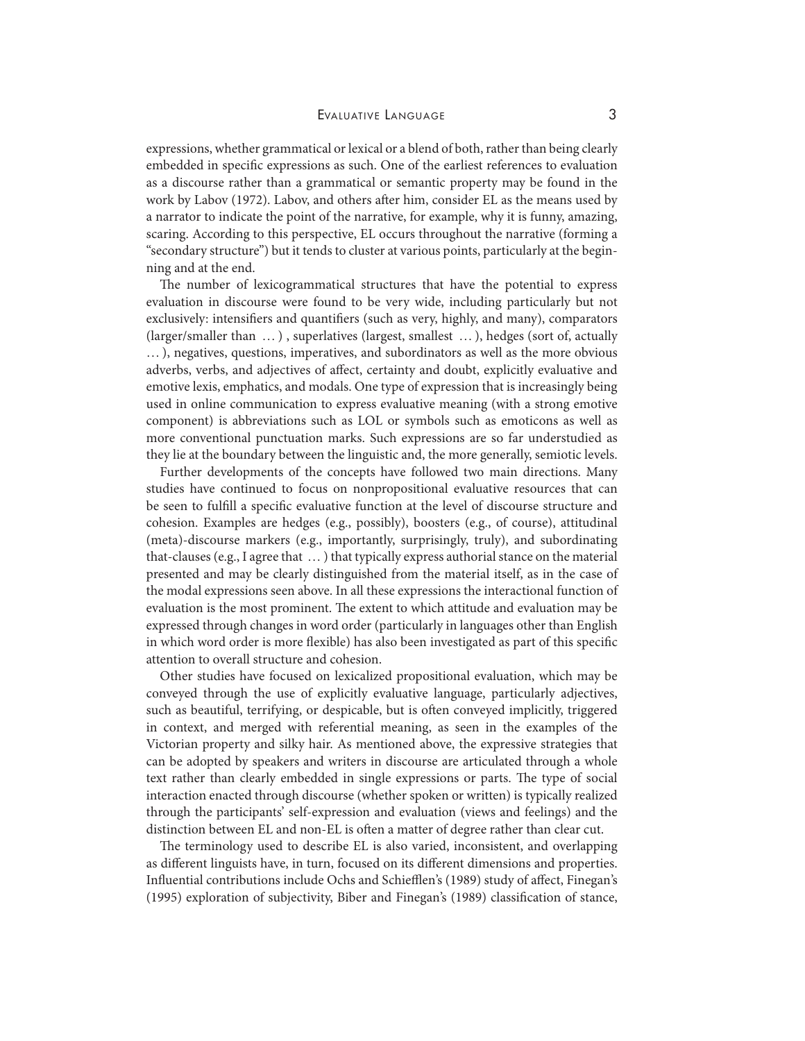expressions, whether grammatical or lexical or a blend of both, rather than being clearly embedded in specific expressions as such. One of the earliest references to evaluation as a discourse rather than a grammatical or semantic property may be found in the work by Labov (1972). Labov, and others after him, consider EL as the means used by a narrator to indicate the point of the narrative, for example, why it is funny, amazing, scaring. According to this perspective, EL occurs throughout the narrative (forming a "secondary structure") but it tends to cluster at various points, particularly at the beginning and at the end.

The number of lexicogrammatical structures that have the potential to express evaluation in discourse were found to be very wide, including particularly but not exclusively: intensifiers and quantifiers (such as very, highly, and many), comparators (larger/smaller than …) , superlatives (largest, smallest …), hedges (sort of, actually …), negatives, questions, imperatives, and subordinators as well as the more obvious adverbs, verbs, and adjectives of affect, certainty and doubt, explicitly evaluative and emotive lexis, emphatics, and modals. One type of expression that is increasingly being used in online communication to express evaluative meaning (with a strong emotive component) is abbreviations such as LOL or symbols such as emoticons as well as more conventional punctuation marks. Such expressions are so far understudied as they lie at the boundary between the linguistic and, the more generally, semiotic levels.

Further developments of the concepts have followed two main directions. Many studies have continued to focus on nonpropositional evaluative resources that can be seen to fulfill a specific evaluative function at the level of discourse structure and cohesion. Examples are hedges (e.g., possibly), boosters (e.g., of course), attitudinal (meta)-discourse markers (e.g., importantly, surprisingly, truly), and subordinating that-clauses (e.g., I agree that …) that typically express authorial stance on the material presented and may be clearly distinguished from the material itself, as in the case of the modal expressions seen above. In all these expressions the interactional function of evaluation is the most prominent. The extent to which attitude and evaluation may be expressed through changes in word order (particularly in languages other than English in which word order is more flexible) has also been investigated as part of this specific attention to overall structure and cohesion.

Other studies have focused on lexicalized propositional evaluation, which may be conveyed through the use of explicitly evaluative language, particularly adjectives, such as beautiful, terrifying, or despicable, but is often conveyed implicitly, triggered in context, and merged with referential meaning, as seen in the examples of the Victorian property and silky hair. As mentioned above, the expressive strategies that can be adopted by speakers and writers in discourse are articulated through a whole text rather than clearly embedded in single expressions or parts. The type of social interaction enacted through discourse (whether spoken or written) is typically realized through the participants' self-expression and evaluation (views and feelings) and the distinction between EL and non-EL is often a matter of degree rather than clear cut.

The terminology used to describe EL is also varied, inconsistent, and overlapping as different linguists have, in turn, focused on its different dimensions and properties. Influential contributions include Ochs and Schiefflen's (1989) study of affect, Finegan's (1995) exploration of subjectivity, Biber and Finegan's (1989) classification of stance,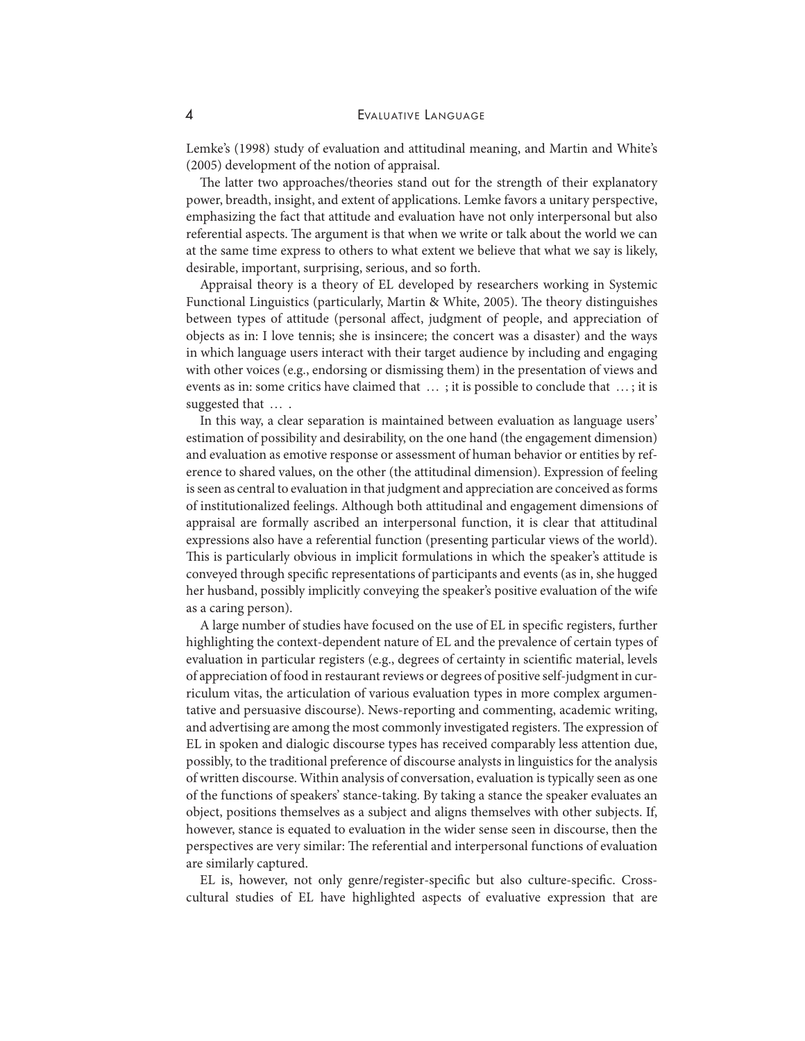Lemke's (1998) study of evaluation and attitudinal meaning, and Martin and White's (2005) development of the notion of appraisal.

The latter two approaches/theories stand out for the strength of their explanatory power, breadth, insight, and extent of applications. Lemke favors a unitary perspective, emphasizing the fact that attitude and evaluation have not only interpersonal but also referential aspects. The argument is that when we write or talk about the world we can at the same time express to others to what extent we believe that what we say is likely, desirable, important, surprising, serious, and so forth.

Appraisal theory is a theory of EL developed by researchers working in Systemic Functional Linguistics (particularly, Martin & White, 2005). The theory distinguishes between types of attitude (personal affect, judgment of people, and appreciation of objects as in: I love tennis; she is insincere; the concert was a disaster) and the ways in which language users interact with their target audience by including and engaging with other voices (e.g., endorsing or dismissing them) in the presentation of views and events as in: some critics have claimed that … ; it is possible to conclude that …; it is suggested that … .

In this way, a clear separation is maintained between evaluation as language users' estimation of possibility and desirability, on the one hand (the engagement dimension) and evaluation as emotive response or assessment of human behavior or entities by reference to shared values, on the other (the attitudinal dimension). Expression of feeling is seen as central to evaluation in that judgment and appreciation are conceived as forms of institutionalized feelings. Although both attitudinal and engagement dimensions of appraisal are formally ascribed an interpersonal function, it is clear that attitudinal expressions also have a referential function (presenting particular views of the world). This is particularly obvious in implicit formulations in which the speaker's attitude is conveyed through specific representations of participants and events (as in, she hugged her husband, possibly implicitly conveying the speaker's positive evaluation of the wife as a caring person).

A large number of studies have focused on the use of EL in specific registers, further highlighting the context-dependent nature of EL and the prevalence of certain types of evaluation in particular registers (e.g., degrees of certainty in scientific material, levels of appreciation of food in restaurant reviews or degrees of positive self-judgment in curriculum vitas, the articulation of various evaluation types in more complex argumentative and persuasive discourse). News-reporting and commenting, academic writing, and advertising are among the most commonly investigated registers. The expression of EL in spoken and dialogic discourse types has received comparably less attention due, possibly, to the traditional preference of discourse analysts in linguistics for the analysis of written discourse. Within analysis of conversation, evaluation is typically seen as one of the functions of speakers' stance-taking. By taking a stance the speaker evaluates an object, positions themselves as a subject and aligns themselves with other subjects. If, however, stance is equated to evaluation in the wider sense seen in discourse, then the perspectives are very similar: The referential and interpersonal functions of evaluation are similarly captured.

EL is, however, not only genre/register-specific but also culture-specific. Crosscultural studies of EL have highlighted aspects of evaluative expression that are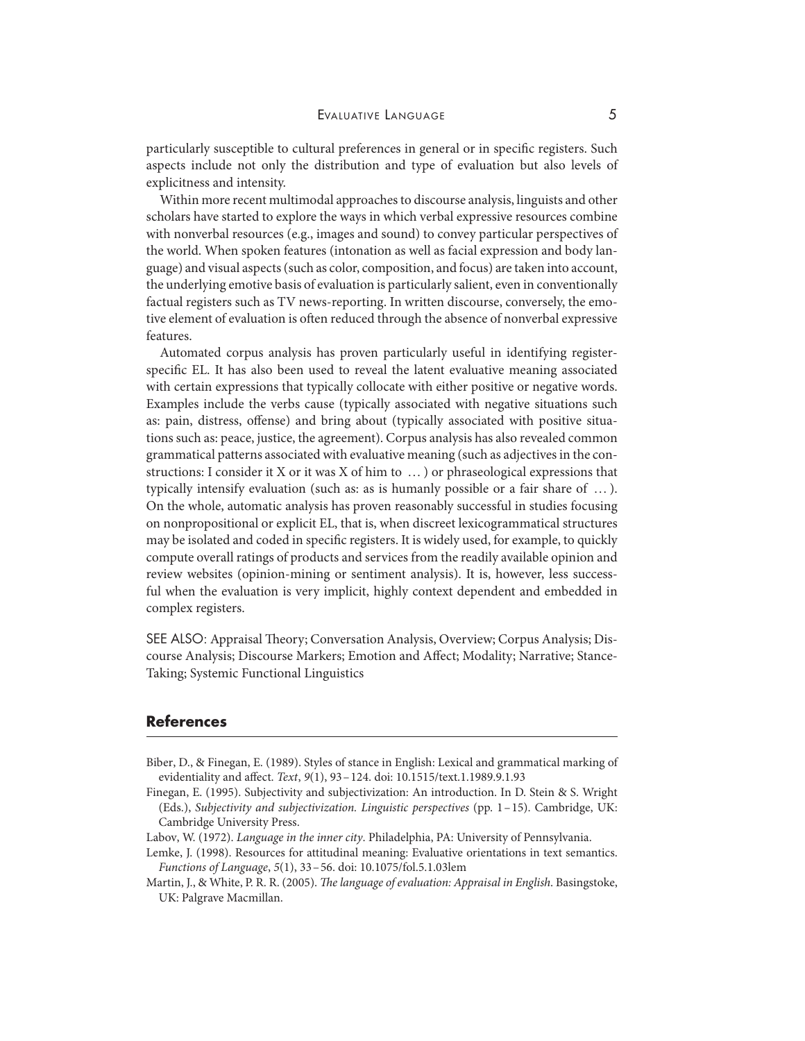particularly susceptible to cultural preferences in general or in specific registers. Such aspects include not only the distribution and type of evaluation but also levels of explicitness and intensity.

Within more recent multimodal approaches to discourse analysis, linguists and other scholars have started to explore the ways in which verbal expressive resources combine with nonverbal resources (e.g., images and sound) to convey particular perspectives of the world. When spoken features (intonation as well as facial expression and body language) and visual aspects (such as color, composition, and focus) are taken into account, the underlying emotive basis of evaluation is particularly salient, even in conventionally factual registers such as TV news-reporting. In written discourse, conversely, the emotive element of evaluation is often reduced through the absence of nonverbal expressive features.

Automated corpus analysis has proven particularly useful in identifying registerspecific EL. It has also been used to reveal the latent evaluative meaning associated with certain expressions that typically collocate with either positive or negative words. Examples include the verbs cause (typically associated with negative situations such as: pain, distress, offense) and bring about (typically associated with positive situations such as: peace, justice, the agreement). Corpus analysis has also revealed common grammatical patterns associated with evaluative meaning (such as adjectives in the constructions: I consider it X or it was X of him to …) or phraseological expressions that typically intensify evaluation (such as: as is humanly possible or a fair share of …). On the whole, automatic analysis has proven reasonably successful in studies focusing on nonpropositional or explicit EL, that is, when discreet lexicogrammatical structures may be isolated and coded in specific registers. It is widely used, for example, to quickly compute overall ratings of products and services from the readily available opinion and review websites (opinion-mining or sentiment analysis). It is, however, less successful when the evaluation is very implicit, highly context dependent and embedded in complex registers.

SEE ALSO: Appraisal Theory; Conversation Analysis, Overview; Corpus Analysis; Discourse Analysis; Discourse Markers; Emotion and Affect; Modality; Narrative; Stance-Taking; Systemic Functional Linguistics

#### **References**

- Biber, D., & Finegan, E. (1989). Styles of stance in English: Lexical and grammatical marking of evidentiality and affect. *Text*, *9*(1), 93–124. doi: 10.1515/text.1.1989.9.1.93
- Finegan, E. (1995). Subjectivity and subjectivization: An introduction. In D. Stein & S. Wright (Eds.), *Subjectivity and subjectivization. Linguistic perspectives* (pp. 1–15). Cambridge, UK: Cambridge University Press.
- Labov, W. (1972). *Language in the inner city*. Philadelphia, PA: University of Pennsylvania.
- Lemke, J. (1998). Resources for attitudinal meaning: Evaluative orientations in text semantics. *Functions of Language*, *5*(1), 33–56. doi: 10.1075/fol.5.1.03lem
- Martin, J., & White, P. R. R. (2005). *The language of evaluation: Appraisal in English*. Basingstoke, UK: Palgrave Macmillan.